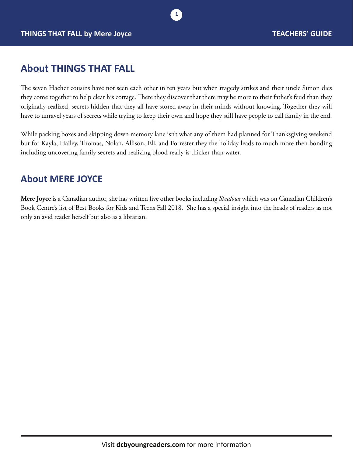# **About THINGS THAT FALL**

The seven Hacher cousins have not seen each other in ten years but when tragedy strikes and their uncle Simon dies they come together to help clear his cottage. There they discover that there may be more to their father's feud than they originally realized, secrets hidden that they all have stored away in their minds without knowing. Together they will have to unravel years of secrets while trying to keep their own and hope they still have people to call family in the end.

**1**

While packing boxes and skipping down memory lane isn't what any of them had planned for Thanksgiving weekend but for Kayla, Hailey, Thomas, Nolan, Allison, Eli, and Forrester they the holiday leads to much more then bonding including uncovering family secrets and realizing blood really is thicker than water.

### **About MERE JOYCE**

**Mere Joyce** is a Canadian author, she has written five other books including *Shadows* which was on Canadian Children's Book Centre's list of Best Books for Kids and Teens Fall 2018. She has a special insight into the heads of readers as not only an avid reader herself but also as a librarian.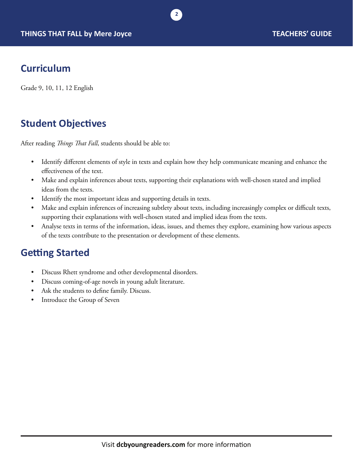

# **Curriculum**

Grade 9, 10, 11, 12 English

# **Student Objectives**

After reading *Things That Fall*, students should be able to:

• Identify different elements of style in texts and explain how they help communicate meaning and enhance the effectiveness of the text.

**2**

- Make and explain inferences about texts, supporting their explanations with well-chosen stated and implied ideas from the texts.
- Identify the most important ideas and supporting details in texts.
- Make and explain inferences of increasing subtlety about texts, including increasingly complex or difficult texts, supporting their explanations with well-chosen stated and implied ideas from the texts.
- Analyse texts in terms of the information, ideas, issues, and themes they explore, examining how various aspects of the texts contribute to the presentation or development of these elements.

## **Getting Started**

- Discuss Rhett syndrome and other developmental disorders.
- Discuss coming-of-age novels in young adult literature.
- Ask the students to define family. Discuss.
- Introduce the Group of Seven